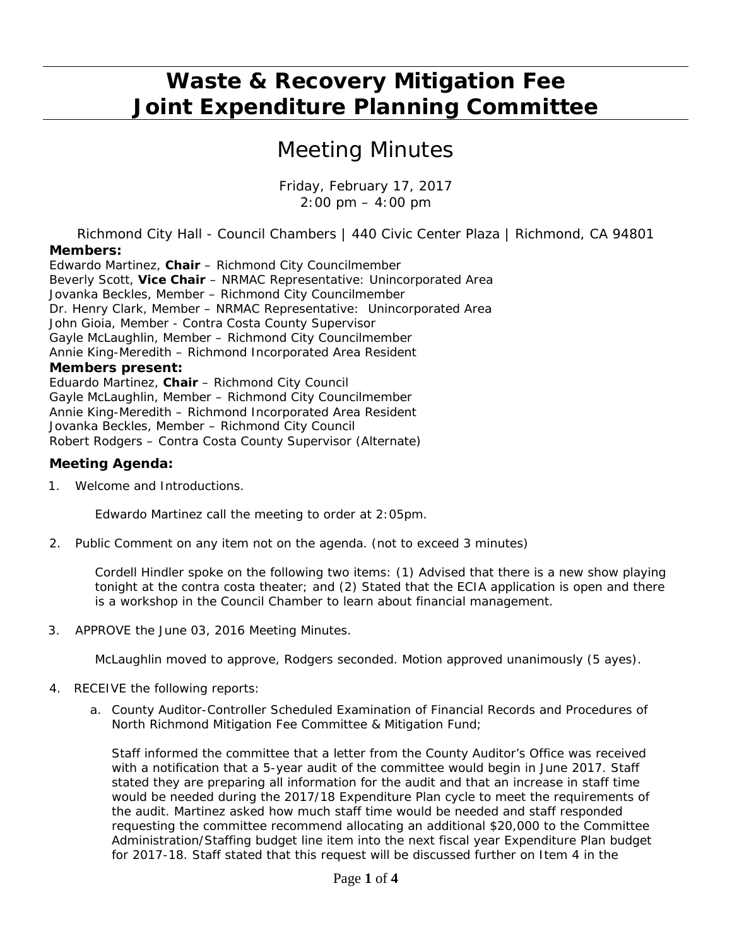## **Waste & Recovery Mitigation Fee Joint Expenditure Planning Committee**

## *Meeting Minutes*

*Friday, February 17, 2017 2:00 pm – 4:00 pm* 

Richmond City Hall - Council Chambers | 440 Civic Center Plaza | Richmond, CA 94801 **Members:** 

Edwardo Martinez, **Chair** – Richmond City Councilmember Beverly Scott, **Vice Chair** – NRMAC Representative: Unincorporated Area Jovanka Beckles, Member – Richmond City Councilmember Dr. Henry Clark, Member – NRMAC Representative: Unincorporated Area John Gioia, Member - Contra Costa County Supervisor Gayle McLaughlin, Member – Richmond City Councilmember Annie King-Meredith – Richmond Incorporated Area Resident **Members present:**  Eduardo Martinez, **Chair** – Richmond City Council

Gayle McLaughlin, Member – Richmond City Councilmember Annie King-Meredith – Richmond Incorporated Area Resident Jovanka Beckles, Member – Richmond City Council Robert Rodgers – Contra Costa County Supervisor (Alternate)

#### **Meeting Agenda:**

1. Welcome and Introductions.

Edwardo Martinez call the meeting to order at 2:05pm.

*2.* Public Comment on any item not on the agenda. *(not to exceed 3 minutes)* 

*Cordell Hindler spoke on the following two items: (1) Advised that there is a new show playing tonight at the contra costa theater; and (2) Stated that the ECIA application is open and there is a workshop in the Council Chamber to learn about financial management.* 

3. *APPROVE* the June 03, 2016 Meeting Minutes.

*McLaughlin moved to approve, Rodgers seconded. Motion approved unanimously (5 ayes).*

- 4. *RECEIVE* the following reports:
	- a. County Auditor-Controller Scheduled Examination of Financial Records and Procedures of North Richmond Mitigation Fee Committee & Mitigation Fund;

Staff informed the committee that a letter from the County Auditor's Office was received with a notification that a 5-year audit of the committee would begin in June 2017. Staff stated they are preparing all information for the audit and that an increase in staff time would be needed during the 2017/18 Expenditure Plan cycle to meet the requirements of the audit. Martinez asked how much staff time would be needed and staff responded requesting the committee recommend allocating an additional \$20,000 to the Committee Administration/Staffing budget line item into the next fiscal year Expenditure Plan budget for 2017-18. Staff stated that this request will be discussed further on Item 4 in the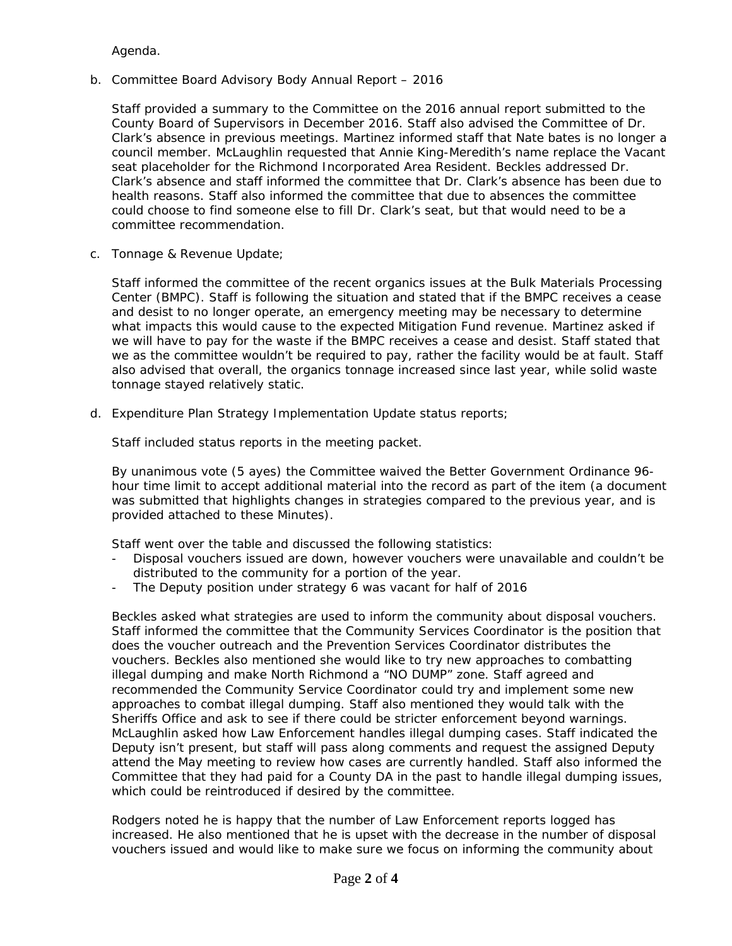Agenda.

b. Committee Board Advisory Body Annual Report – 2016

Staff provided a summary to the Committee on the 2016 annual report submitted to the County Board of Supervisors in December 2016. Staff also advised the Committee of Dr. Clark's absence in previous meetings. Martinez informed staff that Nate bates is no longer a council member. McLaughlin requested that Annie King-Meredith's name replace the Vacant seat placeholder for the Richmond Incorporated Area Resident. Beckles addressed Dr. Clark's absence and staff informed the committee that Dr. Clark's absence has been due to health reasons. Staff also informed the committee that due to absences the committee could choose to find someone else to fill Dr. Clark's seat, but that would need to be a committee recommendation.

c. Tonnage & Revenue Update;

Staff informed the committee of the recent organics issues at the Bulk Materials Processing Center (BMPC). Staff is following the situation and stated that if the BMPC receives a cease and desist to no longer operate, an emergency meeting may be necessary to determine what impacts this would cause to the expected Mitigation Fund revenue. Martinez asked if we will have to pay for the waste if the BMPC receives a cease and desist. Staff stated that we as the committee wouldn't be required to pay, rather the facility would be at fault. Staff also advised that overall, the organics tonnage increased since last year, while solid waste tonnage stayed relatively static.

d. Expenditure Plan Strategy Implementation Update status reports;

Staff included status reports in the meeting packet.

*By unanimous vote (5 ayes) the Committee waived the Better Government Ordinance 96 hour time limit to accept additional material into the record as part of the item (a document was submitted that highlights changes in strategies compared to the previous year, and is provided attached to these Minutes).* 

Staff went over the table and discussed the following statistics:

- Disposal vouchers issued are down, however vouchers were unavailable and couldn't be distributed to the community for a portion of the year.
- The Deputy position under strategy 6 was vacant for half of 2016

Beckles asked what strategies are used to inform the community about disposal vouchers. Staff informed the committee that the Community Services Coordinator is the position that does the voucher outreach and the Prevention Services Coordinator distributes the vouchers. Beckles also mentioned she would like to try new approaches to combatting illegal dumping and make North Richmond a "NO DUMP" zone. Staff agreed and recommended the Community Service Coordinator could try and implement some new approaches to combat illegal dumping. Staff also mentioned they would talk with the Sheriffs Office and ask to see if there could be stricter enforcement beyond warnings. McLaughlin asked how Law Enforcement handles illegal dumping cases. Staff indicated the Deputy isn't present, but staff will pass along comments and request the assigned Deputy attend the May meeting to review how cases are currently handled. Staff also informed the Committee that they had paid for a County DA in the past to handle illegal dumping issues, which could be reintroduced if desired by the committee.

Rodgers noted he is happy that the number of Law Enforcement reports logged has increased. He also mentioned that he is upset with the decrease in the number of disposal vouchers issued and would like to make sure we focus on informing the community about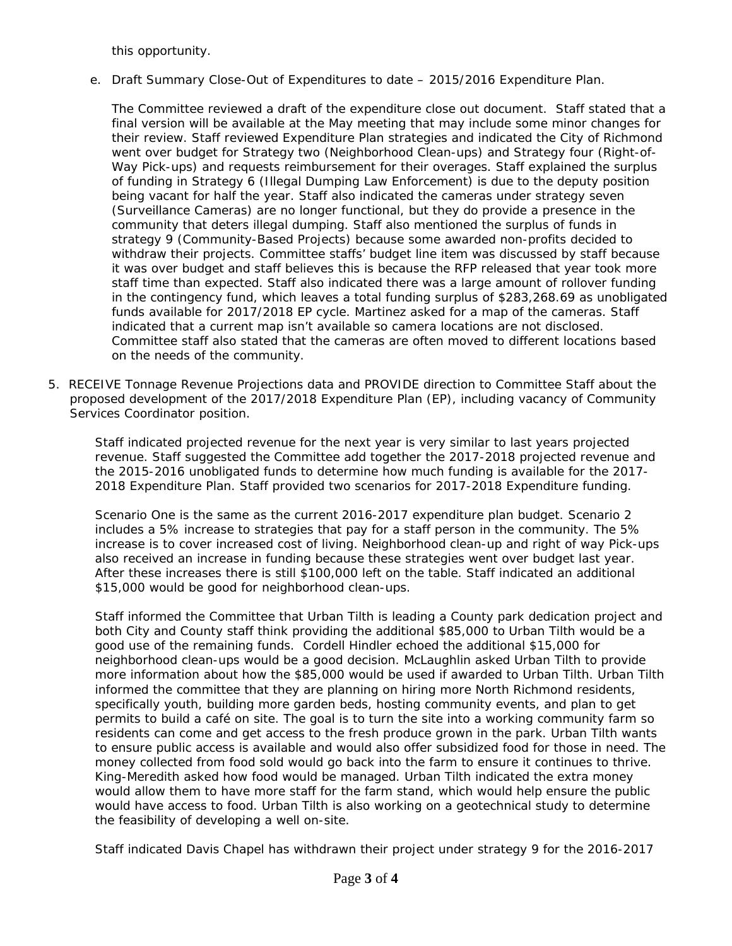this opportunity.

e. Draft Summary Close-Out of Expenditures to date – 2015/2016 Expenditure Plan.

The Committee reviewed a draft of the expenditure close out document. Staff stated that a final version will be available at the May meeting that may include some minor changes for their review. Staff reviewed Expenditure Plan strategies and indicated the City of Richmond went over budget for Strategy two (Neighborhood Clean-ups) and Strategy four (Right-of-Way Pick-ups) and requests reimbursement for their overages. Staff explained the surplus of funding in Strategy 6 (Illegal Dumping Law Enforcement) is due to the deputy position being vacant for half the year. Staff also indicated the cameras under strategy seven (Surveillance Cameras) are no longer functional, but they do provide a presence in the community that deters illegal dumping. Staff also mentioned the surplus of funds in strategy 9 (Community-Based Projects) because some awarded non-profits decided to withdraw their projects. Committee staffs' budget line item was discussed by staff because it was over budget and staff believes this is because the RFP released that year took more staff time than expected. Staff also indicated there was a large amount of rollover funding in the contingency fund, which leaves a total funding surplus of \$283,268.69 as unobligated funds available for 2017/2018 EP cycle. Martinez asked for a map of the cameras. Staff indicated that a current map isn't available so camera locations are not disclosed. Committee staff also stated that the cameras are often moved to different locations based on the needs of the community.

*5. RECEIVE* Tonnage Revenue Projections data and *PROVIDE* direction to Committee Staff about the proposed development of the 2017/2018 Expenditure Plan (EP), including vacancy of Community Services Coordinator position.

Staff indicated projected revenue for the next year is very similar to last years projected revenue. Staff suggested the Committee add together the 2017-2018 projected revenue and the 2015-2016 unobligated funds to determine how much funding is available for the 2017- 2018 Expenditure Plan. Staff provided two scenarios for 2017-2018 Expenditure funding.

Scenario One is the same as the current 2016-2017 expenditure plan budget. Scenario 2 includes a 5% increase to strategies that pay for a staff person in the community. The 5% increase is to cover increased cost of living. Neighborhood clean-up and right of way Pick-ups also received an increase in funding because these strategies went over budget last year. After these increases there is still \$100,000 left on the table. Staff indicated an additional \$15,000 would be good for neighborhood clean-ups.

Staff informed the Committee that Urban Tilth is leading a County park dedication project and both City and County staff think providing the additional \$85,000 to Urban Tilth would be a good use of the remaining funds. Cordell Hindler echoed the additional \$15,000 for neighborhood clean-ups would be a good decision. McLaughlin asked Urban Tilth to provide more information about how the \$85,000 would be used if awarded to Urban Tilth. Urban Tilth informed the committee that they are planning on hiring more North Richmond residents, specifically youth, building more garden beds, hosting community events, and plan to get permits to build a café on site. The goal is to turn the site into a working community farm so residents can come and get access to the fresh produce grown in the park. Urban Tilth wants to ensure public access is available and would also offer subsidized food for those in need. The money collected from food sold would go back into the farm to ensure it continues to thrive. King-Meredith asked how food would be managed. Urban Tilth indicated the extra money would allow them to have more staff for the farm stand, which would help ensure the public would have access to food. Urban Tilth is also working on a geotechnical study to determine the feasibility of developing a well on-site.

Staff indicated Davis Chapel has withdrawn their project under strategy 9 for the 2016-2017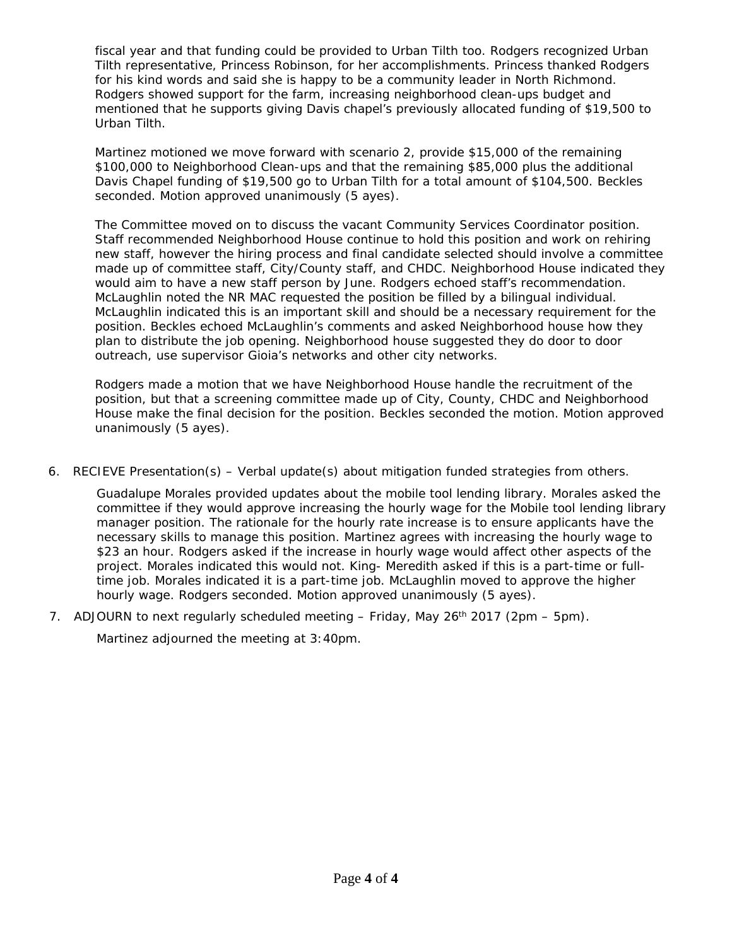fiscal year and that funding could be provided to Urban Tilth too. Rodgers recognized Urban Tilth representative, Princess Robinson, for her accomplishments. Princess thanked Rodgers for his kind words and said she is happy to be a community leader in North Richmond. Rodgers showed support for the farm, increasing neighborhood clean-ups budget and mentioned that he supports giving Davis chapel's previously allocated funding of \$19,500 to Urban Tilth.

*Martinez motioned we move forward with scenario 2, provide \$15,000 of the remaining \$100,000 to Neighborhood Clean-ups and that the remaining \$85,000 plus the additional Davis Chapel funding of \$19,500 go to Urban Tilth for a total amount of \$104,500. Beckles seconded. Motion approved unanimously (5 ayes).* 

The Committee moved on to discuss the vacant Community Services Coordinator position. Staff recommended Neighborhood House continue to hold this position and work on rehiring new staff, however the hiring process and final candidate selected should involve a committee made up of committee staff, City/County staff, and CHDC. Neighborhood House indicated they would aim to have a new staff person by June. Rodgers echoed staff's recommendation. McLaughlin noted the NR MAC requested the position be filled by a bilingual individual. McLaughlin indicated this is an important skill and should be a necessary requirement for the position. Beckles echoed McLaughlin's comments and asked Neighborhood house how they plan to distribute the job opening. Neighborhood house suggested they do door to door outreach, use supervisor Gioia's networks and other city networks.

*Rodgers made a motion that we have Neighborhood House handle the recruitment of the position, but that a screening committee made up of City, County, CHDC and Neighborhood House make the final decision for the position. Beckles seconded the motion. Motion approved unanimously (5 ayes)*.

*6. RECIEVE Presentation(s)* – Verbal update(s) about mitigation funded strategies from others.

Guadalupe Morales provided updates about the mobile tool lending library. Morales asked the committee if they would approve increasing the hourly wage for the Mobile tool lending library manager position. The rationale for the hourly rate increase is to ensure applicants have the necessary skills to manage this position. Martinez agrees with increasing the hourly wage to \$23 an hour. Rodgers asked if the increase in hourly wage would affect other aspects of the project. Morales indicated this would not. King- Meredith asked if this is a part-time or fulltime job. Morales indicated it is a part-time job. *McLaughlin moved to approve the higher hourly wage. Rodgers seconded. Motion approved unanimously (5 ayes).*

7. ADJOURN to next regularly scheduled meeting – Friday, May 26<sup>th</sup> 2017 (2pm – 5pm).

Martinez adjourned the meeting at 3:40pm.